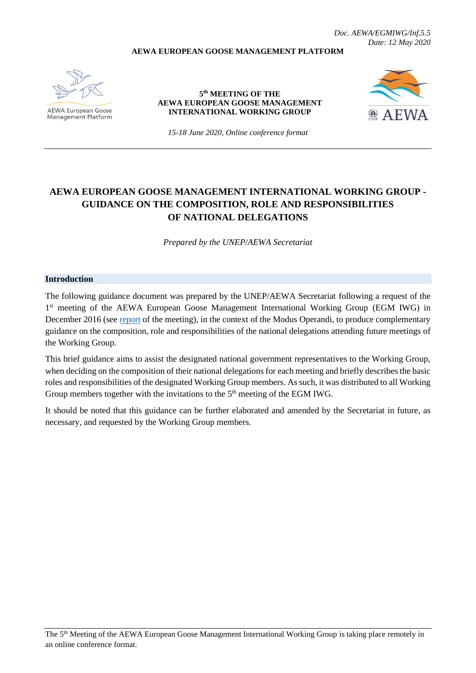*Doc. AEWA/EGMIWG/Inf.5.5 Date: 12 May 2020*

#### **AEWA EUROPEAN GOOSE MANAGEMENT PLATFORM**



AEWA European Goose Management Platform

**5 th MEETING OF THE AEWA EUROPEAN GOOSE MANAGEMENT INTERNATIONAL WORKING GROUP**



*15-18 June 2020, Online conference format*

# **AEWA EUROPEAN GOOSE MANAGEMENT INTERNATIONAL WORKING GROUP - GUIDANCE ON THE COMPOSITION, ROLE AND RESPONSIBILITIES OF NATIONAL DELEGATIONS**

*Prepared by the UNEP/AEWA Secretariat*

#### **Introduction**

The following guidance document was prepared by the UNEP/AEWA Secretariat following a request of the 1<sup>st</sup> meeting of the AEWA European Goose Management International Working Group (EGM IWG) in December 2016 (see [report](http://www.unep-aewa.org/sites/default/files/document/aewa_egm_iwg_1_meeting_report.pdf) of the meeting), in the context of the Modus Operandi, to produce complementary guidance on the composition, role and responsibilities of the national delegations attending future meetings of the Working Group.

This brief guidance aims to assist the designated national government representatives to the Working Group, when deciding on the composition of their national delegations for each meeting and briefly describes the basic roles and responsibilities of the designated Working Group members. As such, it was distributed to all Working Group members together with the invitations to the  $5<sup>th</sup>$  meeting of the EGM IWG.

It should be noted that this guidance can be further elaborated and amended by the Secretariat in future, as necessary, and requested by the Working Group members.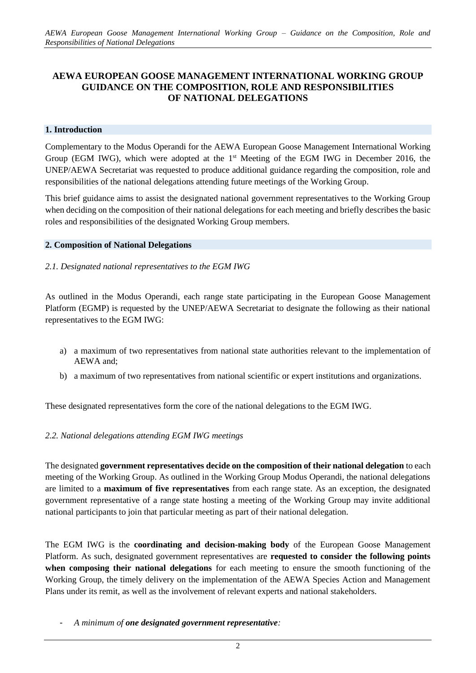# **AEWA EUROPEAN GOOSE MANAGEMENT INTERNATIONAL WORKING GROUP GUIDANCE ON THE COMPOSITION, ROLE AND RESPONSIBILITIES OF NATIONAL DELEGATIONS**

#### **1. Introduction**

Complementary to the Modus Operandi for the AEWA European Goose Management International Working Group (EGM IWG), which were adopted at the  $1<sup>st</sup>$  Meeting of the EGM IWG in December 2016, the UNEP/AEWA Secretariat was requested to produce additional guidance regarding the composition, role and responsibilities of the national delegations attending future meetings of the Working Group.

This brief guidance aims to assist the designated national government representatives to the Working Group when deciding on the composition of their national delegations for each meeting and briefly describes the basic roles and responsibilities of the designated Working Group members.

#### **2. Composition of National Delegations**

### *2.1. Designated national representatives to the EGM IWG*

As outlined in the Modus Operandi, each range state participating in the European Goose Management Platform (EGMP) is requested by the UNEP/AEWA Secretariat to designate the following as their national representatives to the EGM IWG:

- a) a maximum of two representatives from national state authorities relevant to the implementation of AEWA and;
- b) a maximum of two representatives from national scientific or expert institutions and organizations.

These designated representatives form the core of the national delegations to the EGM IWG.

### *2.2. National delegations attending EGM IWG meetings*

The designated **government representatives decide on the composition of their national delegation** to each meeting of the Working Group. As outlined in the Working Group Modus Operandi, the national delegations are limited to a **maximum of five representatives** from each range state. As an exception, the designated government representative of a range state hosting a meeting of the Working Group may invite additional national participants to join that particular meeting as part of their national delegation.

The EGM IWG is the **coordinating and decision-making body** of the European Goose Management Platform. As such, designated government representatives are **requested to consider the following points when composing their national delegations** for each meeting to ensure the smooth functioning of the Working Group, the timely delivery on the implementation of the AEWA Species Action and Management Plans under its remit, as well as the involvement of relevant experts and national stakeholders.

<sup>-</sup> *A minimum of one designated government representative:*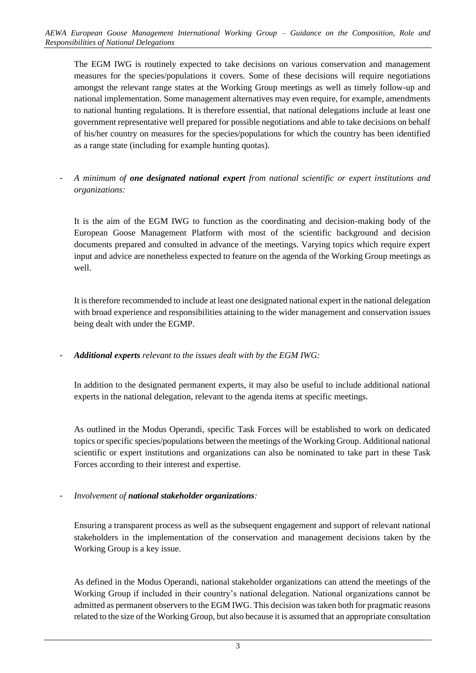The EGM IWG is routinely expected to take decisions on various conservation and management measures for the species/populations it covers. Some of these decisions will require negotiations amongst the relevant range states at the Working Group meetings as well as timely follow-up and national implementation. Some management alternatives may even require, for example, amendments to national hunting regulations. It is therefore essential, that national delegations include at least one government representative well prepared for possible negotiations and able to take decisions on behalf of his/her country on measures for the species/populations for which the country has been identified as a range state (including for example hunting quotas).

- *A minimum of one designated national expert from national scientific or expert institutions and organizations:*

It is the aim of the EGM IWG to function as the coordinating and decision-making body of the European Goose Management Platform with most of the scientific background and decision documents prepared and consulted in advance of the meetings. Varying topics which require expert input and advice are nonetheless expected to feature on the agenda of the Working Group meetings as well.

It is therefore recommended to include at least one designated national expert in the national delegation with broad experience and responsibilities attaining to the wider management and conservation issues being dealt with under the EGMP.

- *Additional experts relevant to the issues dealt with by the EGM IWG:*

In addition to the designated permanent experts, it may also be useful to include additional national experts in the national delegation, relevant to the agenda items at specific meetings.

As outlined in the Modus Operandi, specific Task Forces will be established to work on dedicated topics or specific species/populations between the meetings of the Working Group. Additional national scientific or expert institutions and organizations can also be nominated to take part in these Task Forces according to their interest and expertise.

- *Involvement of national stakeholder organizations:* 

Ensuring a transparent process as well as the subsequent engagement and support of relevant national stakeholders in the implementation of the conservation and management decisions taken by the Working Group is a key issue.

As defined in the Modus Operandi, national stakeholder organizations can attend the meetings of the Working Group if included in their country's national delegation. National organizations cannot be admitted as permanent observers to the EGM IWG. This decision was taken both for pragmatic reasons related to the size of the Working Group, but also because it is assumed that an appropriate consultation